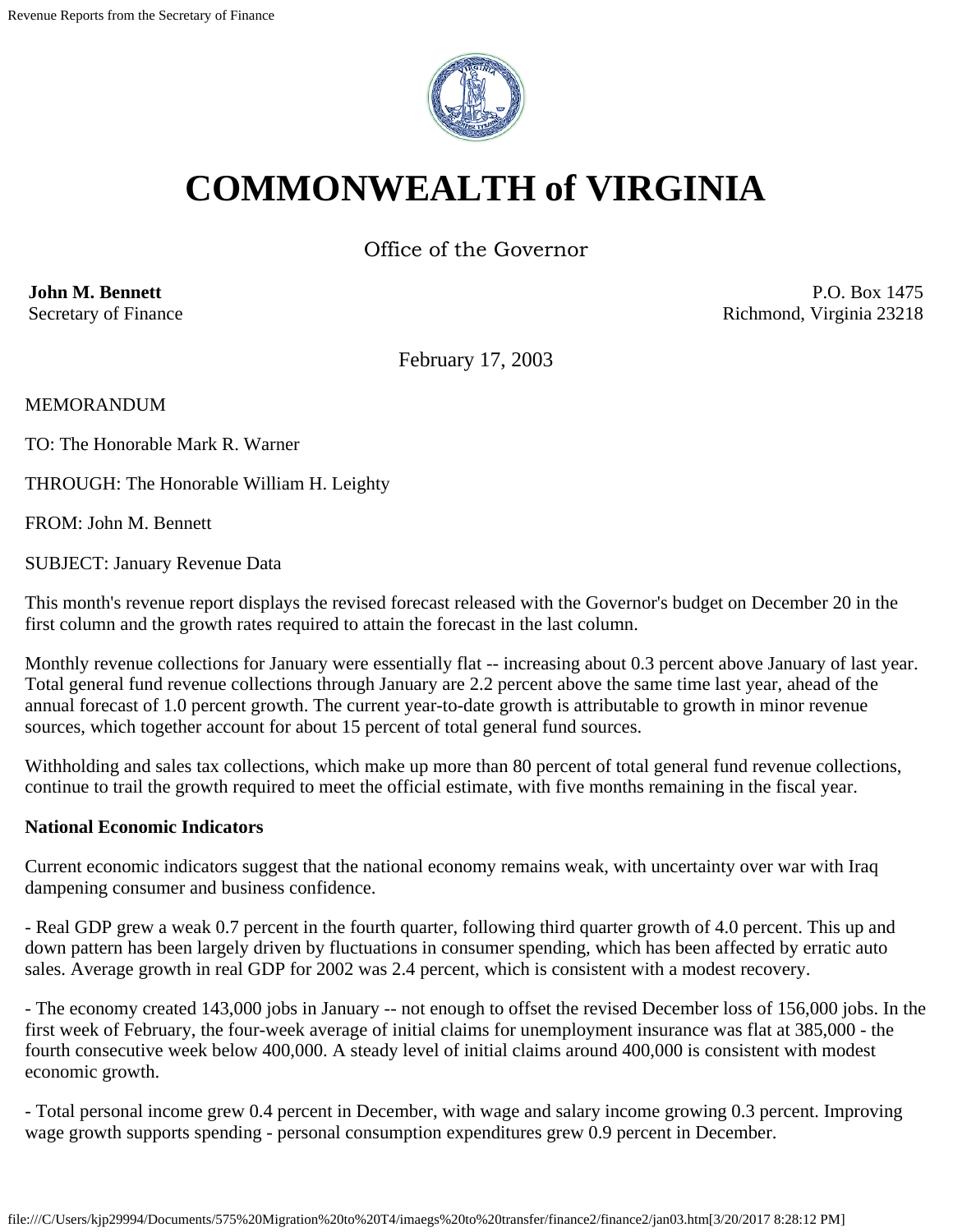

# **COMMONWEALTH of VIRGINIA**

Office of the Governor

**John M. Bennett** Secretary of Finance

P.O. Box 1475 Richmond, Virginia 23218

February 17, 2003

MEMORANDUM

TO: The Honorable Mark R. Warner

THROUGH: The Honorable William H. Leighty

FROM: John M. Bennett

SUBJECT: January Revenue Data

This month's revenue report displays the revised forecast released with the Governor's budget on December 20 in the first column and the growth rates required to attain the forecast in the last column.

Monthly revenue collections for January were essentially flat -- increasing about 0.3 percent above January of last year. Total general fund revenue collections through January are 2.2 percent above the same time last year, ahead of the annual forecast of 1.0 percent growth. The current year-to-date growth is attributable to growth in minor revenue sources, which together account for about 15 percent of total general fund sources.

Withholding and sales tax collections, which make up more than 80 percent of total general fund revenue collections, continue to trail the growth required to meet the official estimate, with five months remaining in the fiscal year.

#### **National Economic Indicators**

Current economic indicators suggest that the national economy remains weak, with uncertainty over war with Iraq dampening consumer and business confidence.

- Real GDP grew a weak 0.7 percent in the fourth quarter, following third quarter growth of 4.0 percent. This up and down pattern has been largely driven by fluctuations in consumer spending, which has been affected by erratic auto sales. Average growth in real GDP for 2002 was 2.4 percent, which is consistent with a modest recovery.

- The economy created 143,000 jobs in January -- not enough to offset the revised December loss of 156,000 jobs. In the first week of February, the four-week average of initial claims for unemployment insurance was flat at 385,000 - the fourth consecutive week below 400,000. A steady level of initial claims around 400,000 is consistent with modest economic growth.

- Total personal income grew 0.4 percent in December, with wage and salary income growing 0.3 percent. Improving wage growth supports spending - personal consumption expenditures grew 0.9 percent in December.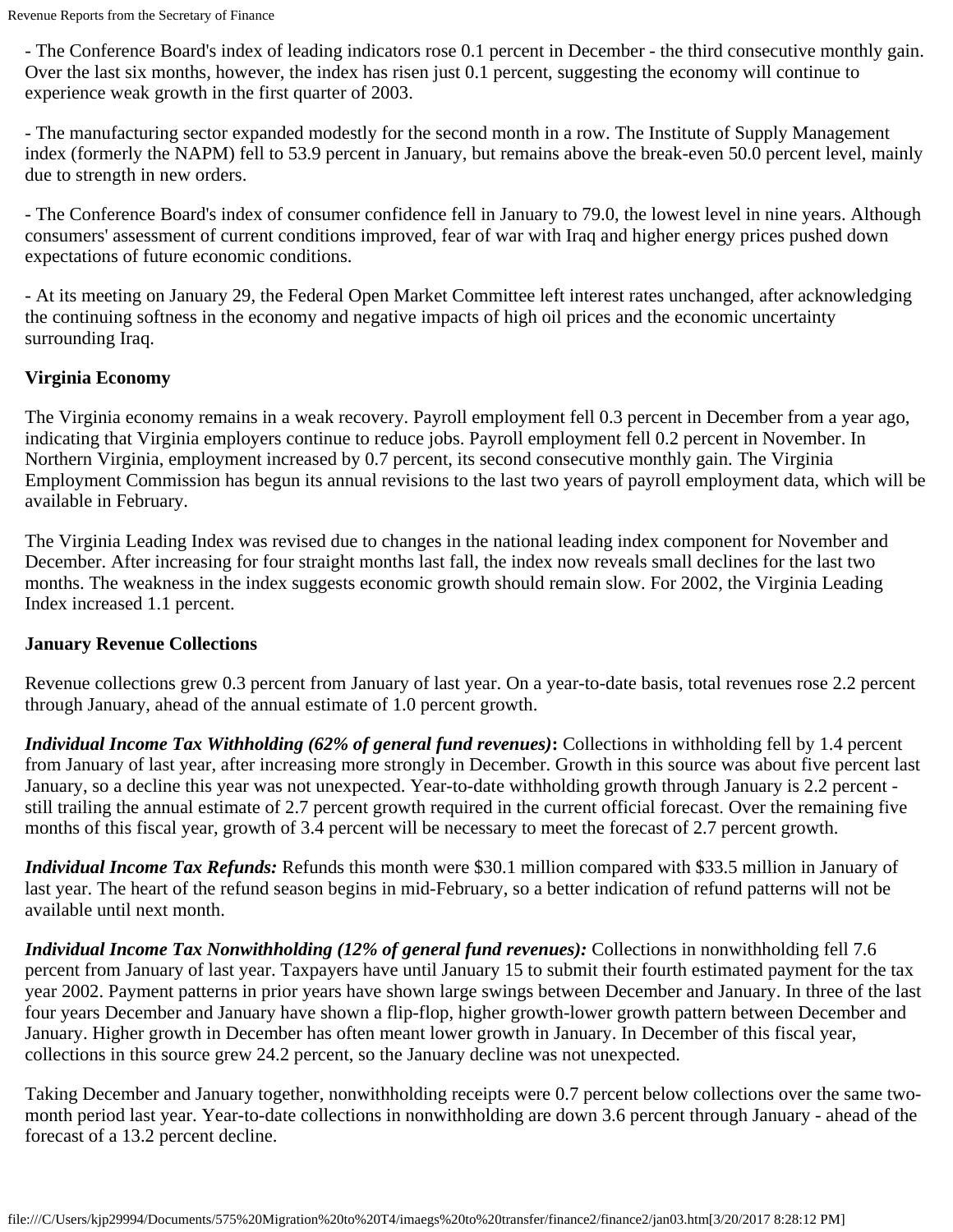- The Conference Board's index of leading indicators rose 0.1 percent in December - the third consecutive monthly gain. Over the last six months, however, the index has risen just 0.1 percent, suggesting the economy will continue to experience weak growth in the first quarter of 2003.

- The manufacturing sector expanded modestly for the second month in a row. The Institute of Supply Management index (formerly the NAPM) fell to 53.9 percent in January, but remains above the break-even 50.0 percent level, mainly due to strength in new orders.

- The Conference Board's index of consumer confidence fell in January to 79.0, the lowest level in nine years. Although consumers' assessment of current conditions improved, fear of war with Iraq and higher energy prices pushed down expectations of future economic conditions.

- At its meeting on January 29, the Federal Open Market Committee left interest rates unchanged, after acknowledging the continuing softness in the economy and negative impacts of high oil prices and the economic uncertainty surrounding Iraq.

## **Virginia Economy**

The Virginia economy remains in a weak recovery. Payroll employment fell 0.3 percent in December from a year ago, indicating that Virginia employers continue to reduce jobs. Payroll employment fell 0.2 percent in November. In Northern Virginia, employment increased by 0.7 percent, its second consecutive monthly gain. The Virginia Employment Commission has begun its annual revisions to the last two years of payroll employment data, which will be available in February.

The Virginia Leading Index was revised due to changes in the national leading index component for November and December. After increasing for four straight months last fall, the index now reveals small declines for the last two months. The weakness in the index suggests economic growth should remain slow. For 2002, the Virginia Leading Index increased 1.1 percent.

### **January Revenue Collections**

Revenue collections grew 0.3 percent from January of last year. On a year-to-date basis, total revenues rose 2.2 percent through January, ahead of the annual estimate of 1.0 percent growth.

*Individual Income Tax Withholding (62% of general fund revenues)***:** Collections in withholding fell by 1.4 percent from January of last year, after increasing more strongly in December. Growth in this source was about five percent last January, so a decline this year was not unexpected. Year-to-date withholding growth through January is 2.2 percent still trailing the annual estimate of 2.7 percent growth required in the current official forecast. Over the remaining five months of this fiscal year, growth of 3.4 percent will be necessary to meet the forecast of 2.7 percent growth.

*Individual Income Tax Refunds:* Refunds this month were \$30.1 million compared with \$33.5 million in January of last year. The heart of the refund season begins in mid-February, so a better indication of refund patterns will not be available until next month.

*Individual Income Tax Nonwithholding (12% of general fund revenues):* Collections in nonwithholding fell 7.6 percent from January of last year. Taxpayers have until January 15 to submit their fourth estimated payment for the tax year 2002. Payment patterns in prior years have shown large swings between December and January. In three of the last four years December and January have shown a flip-flop, higher growth-lower growth pattern between December and January. Higher growth in December has often meant lower growth in January. In December of this fiscal year, collections in this source grew 24.2 percent, so the January decline was not unexpected.

Taking December and January together, nonwithholding receipts were 0.7 percent below collections over the same twomonth period last year. Year-to-date collections in nonwithholding are down 3.6 percent through January - ahead of the forecast of a 13.2 percent decline.